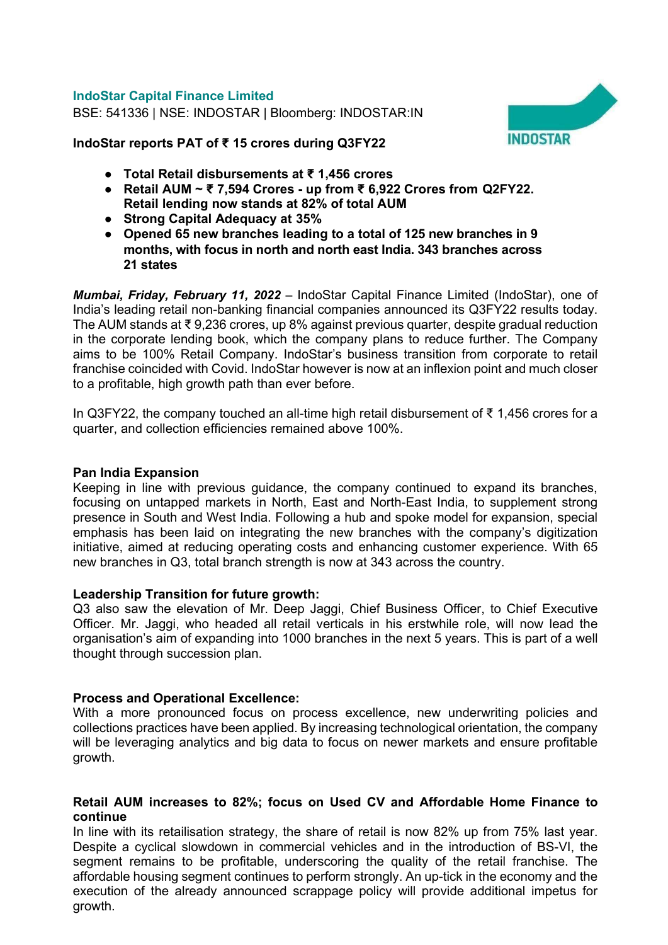## IndoStar Capital Finance Limited

BSE: 541336 | NSE: INDOSTAR | Bloomberg: INDOSTAR:IN



IndoStar reports PAT of ₹ 15 crores during Q3FY22

- Total Retail disbursements at ₹ 1,456 crores
- Retail AUM ~ ₹ 7,594 Crores up from ₹ 6,922 Crores from Q2FY22. Retail lending now stands at 82% of total AUM
- Strong Capital Adequacy at 35%
- Opened 65 new branches leading to a total of 125 new branches in 9 months, with focus in north and north east India. 343 branches across 21 states

Mumbai, Friday, February 11, 2022 – IndoStar Capital Finance Limited (IndoStar), one of India's leading retail non-banking financial companies announced its Q3FY22 results today. The AUM stands at ₹ 9,236 crores, up 8% against previous quarter, despite gradual reduction in the corporate lending book, which the company plans to reduce further. The Company aims to be 100% Retail Company. IndoStar's business transition from corporate to retail franchise coincided with Covid. IndoStar however is now at an inflexion point and much closer to a profitable, high growth path than ever before.

In Q3FY22, the company touched an all-time high retail disbursement of ₹ 1,456 crores for a quarter, and collection efficiencies remained above 100%.

## Pan India Expansion

Keeping in line with previous guidance, the company continued to expand its branches, focusing on untapped markets in North, East and North-East India, to supplement strong presence in South and West India. Following a hub and spoke model for expansion, special emphasis has been laid on integrating the new branches with the company's digitization initiative, aimed at reducing operating costs and enhancing customer experience. With 65 new branches in Q3, total branch strength is now at 343 across the country.

## Leadership Transition for future growth:

Q3 also saw the elevation of Mr. Deep Jaggi, Chief Business Officer, to Chief Executive Officer. Mr. Jaggi, who headed all retail verticals in his erstwhile role, will now lead the organisation's aim of expanding into 1000 branches in the next 5 years. This is part of a well thought through succession plan.

# Process and Operational Excellence:

With a more pronounced focus on process excellence, new underwriting policies and collections practices have been applied. By increasing technological orientation, the company will be leveraging analytics and big data to focus on newer markets and ensure profitable growth.

## Retail AUM increases to 82%; focus on Used CV and Affordable Home Finance to continue

In line with its retailisation strategy, the share of retail is now 82% up from 75% last year. Despite a cyclical slowdown in commercial vehicles and in the introduction of BS-VI, the segment remains to be profitable, underscoring the quality of the retail franchise. The affordable housing segment continues to perform strongly. An up-tick in the economy and the execution of the already announced scrappage policy will provide additional impetus for growth.